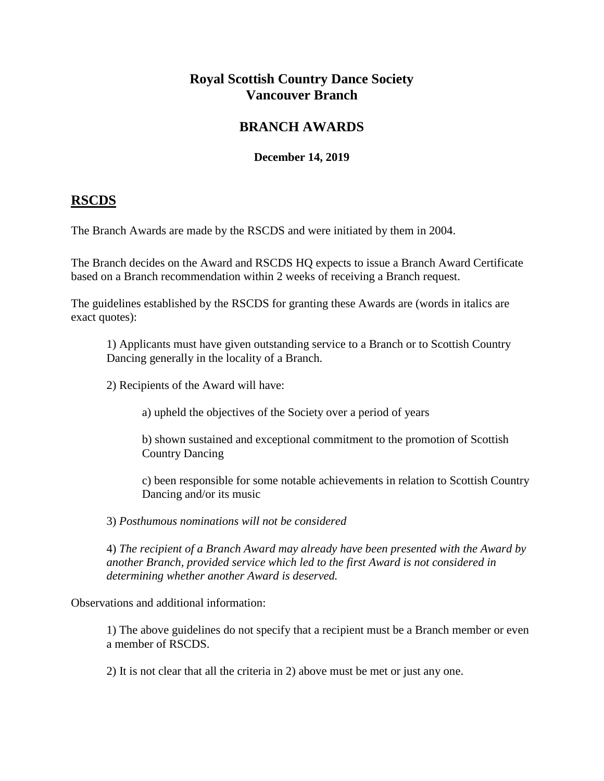# **Royal Scottish Country Dance Society Vancouver Branch**

# **BRANCH AWARDS**

### **December 14, 2019**

# **RSCDS**

The Branch Awards are made by the RSCDS and were initiated by them in 2004.

The Branch decides on the Award and RSCDS HQ expects to issue a Branch Award Certificate based on a Branch recommendation within 2 weeks of receiving a Branch request.

The guidelines established by the RSCDS for granting these Awards are (words in italics are exact quotes):

1) Applicants must have given outstanding service to a Branch or to Scottish Country Dancing generally in the locality of a Branch.

2) Recipients of the Award will have:

a) upheld the objectives of the Society over a period of years

b) shown sustained and exceptional commitment to the promotion of Scottish Country Dancing

c) been responsible for some notable achievements in relation to Scottish Country Dancing and/or its music

3) *Posthumous nominations will not be considered* 

4) *The recipient of a Branch Award may already have been presented with the Award by another Branch, provided service which led to the first Award is not considered in determining whether another Award is deserved.* 

Observations and additional information:

1) The above guidelines do not specify that a recipient must be a Branch member or even a member of RSCDS.

2) It is not clear that all the criteria in 2) above must be met or just any one.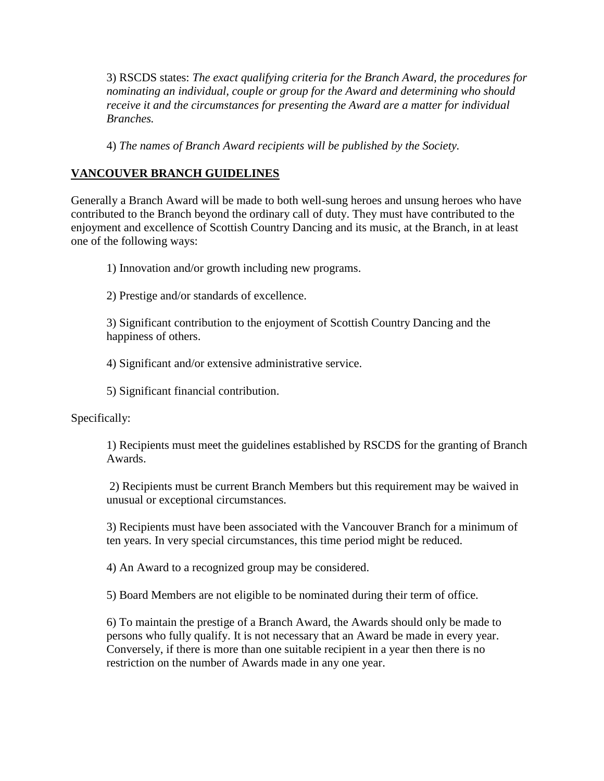3) RSCDS states: *The exact qualifying criteria for the Branch Award, the procedures for nominating an individual, couple or group for the Award and determining who should receive it and the circumstances for presenting the Award are a matter for individual Branches.*

4) *The names of Branch Award recipients will be published by the Society.*

## **VANCOUVER BRANCH GUIDELINES**

Generally a Branch Award will be made to both well-sung heroes and unsung heroes who have contributed to the Branch beyond the ordinary call of duty. They must have contributed to the enjoyment and excellence of Scottish Country Dancing and its music, at the Branch, in at least one of the following ways:

1) Innovation and/or growth including new programs.

2) Prestige and/or standards of excellence.

3) Significant contribution to the enjoyment of Scottish Country Dancing and the happiness of others.

4) Significant and/or extensive administrative service.

5) Significant financial contribution.

Specifically:

1) Recipients must meet the guidelines established by RSCDS for the granting of Branch Awards.

2) Recipients must be current Branch Members but this requirement may be waived in unusual or exceptional circumstances.

3) Recipients must have been associated with the Vancouver Branch for a minimum of ten years. In very special circumstances, this time period might be reduced.

4) An Award to a recognized group may be considered.

5) Board Members are not eligible to be nominated during their term of office.

6) To maintain the prestige of a Branch Award, the Awards should only be made to persons who fully qualify. It is not necessary that an Award be made in every year. Conversely, if there is more than one suitable recipient in a year then there is no restriction on the number of Awards made in any one year.